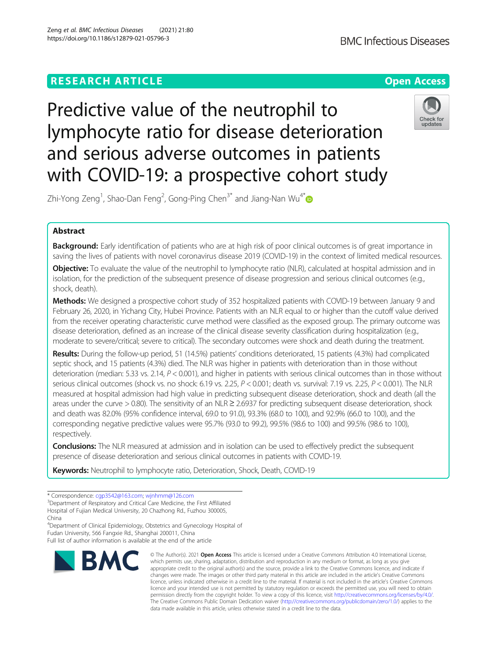# **RESEARCH ARTICLE Example 2014 12:30 The Open Access**

Predictive value of the neutrophil to lymphocyte ratio for disease deterioration and serious adverse outcomes in patients with COVID-19: a prospective cohort study



Zhi-Yong Zeng<sup>1</sup>, Shao-Dan Feng<sup>2</sup>, Gong-Ping Chen $^{3^\ast}$  and Jiang-Nan Wu $^{4^\ast}$ 

# Abstract

Background: Early identification of patients who are at high risk of poor clinical outcomes is of great importance in saving the lives of patients with novel coronavirus disease 2019 (COVID-19) in the context of limited medical resources.

Objective: To evaluate the value of the neutrophil to lymphocyte ratio (NLR), calculated at hospital admission and in isolation, for the prediction of the subsequent presence of disease progression and serious clinical outcomes (e.g., shock, death).

Methods: We designed a prospective cohort study of 352 hospitalized patients with COVID-19 between January 9 and February 26, 2020, in Yichang City, Hubei Province. Patients with an NLR equal to or higher than the cutoff value derived from the receiver operating characteristic curve method were classified as the exposed group. The primary outcome was disease deterioration, defined as an increase of the clinical disease severity classification during hospitalization (e.g., moderate to severe/critical; severe to critical). The secondary outcomes were shock and death during the treatment.

Results: During the follow-up period, 51 (14.5%) patients' conditions deteriorated, 15 patients (4.3%) had complicated septic shock, and 15 patients (4.3%) died. The NLR was higher in patients with deterioration than in those without deterioration (median: 5.33 vs. 2.14,  $P < 0.001$ ), and higher in patients with serious clinical outcomes than in those without serious clinical outcomes (shock vs. no shock: 6.19 vs. 2.25,  $P < 0.001$ ; death vs. survival: 7.19 vs. 2.25,  $P < 0.001$ ). The NLR measured at hospital admission had high value in predicting subsequent disease deterioration, shock and death (all the areas under the curve > 0.80). The sensitivity of an NLR ≥ 2.6937 for predicting subsequent disease deterioration, shock and death was 82.0% (95% confidence interval, 69.0 to 91.0), 93.3% (68.0 to 100), and 92.9% (66.0 to 100), and the corresponding negative predictive values were 95.7% (93.0 to 99.2), 99.5% (98.6 to 100) and 99.5% (98.6 to 100), respectively.

**Conclusions:** The NLR measured at admission and in isolation can be used to effectively predict the subsequent presence of disease deterioration and serious clinical outcomes in patients with COVID-19.

Keywords: Neutrophil to lymphocyte ratio, Deterioration, Shock, Death, COVID-19

4 Department of Clinical Epidemiology, Obstetrics and Gynecology Hospital of Fudan University, 566 Fangxie Rd., Shanghai 200011, China

Full list of author information is available at the end of the article



<sup>©</sup> The Author(s), 2021 **Open Access** This article is licensed under a Creative Commons Attribution 4.0 International License, which permits use, sharing, adaptation, distribution and reproduction in any medium or format, as long as you give appropriate credit to the original author(s) and the source, provide a link to the Creative Commons licence, and indicate if changes were made. The images or other third party material in this article are included in the article's Creative Commons licence, unless indicated otherwise in a credit line to the material. If material is not included in the article's Creative Commons licence and your intended use is not permitted by statutory regulation or exceeds the permitted use, you will need to obtain permission directly from the copyright holder. To view a copy of this licence, visit [http://creativecommons.org/licenses/by/4.0/.](http://creativecommons.org/licenses/by/4.0/) The Creative Commons Public Domain Dedication waiver [\(http://creativecommons.org/publicdomain/zero/1.0/](http://creativecommons.org/publicdomain/zero/1.0/)) applies to the data made available in this article, unless otherwise stated in a credit line to the data.

<sup>\*</sup> Correspondence: [cgp3542@163.com](mailto:cgp3542@163.com); [wjnhmm@126.com](mailto:wjnhmm@126.com) <sup>3</sup>

<sup>&</sup>lt;sup>3</sup>Department of Respiratory and Critical Care Medicine, the First Affiliated Hospital of Fujian Medical University, 20 Chazhong Rd., Fuzhou 300005,

China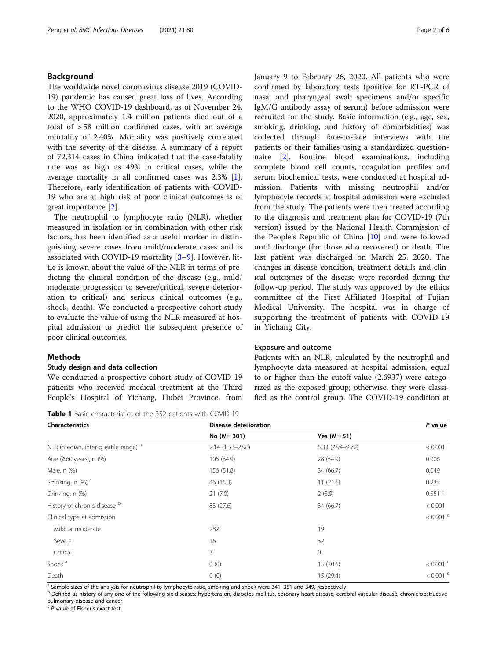### <span id="page-1-0"></span>Background

The worldwide novel coronavirus disease 2019 (COVID-19) pandemic has caused great loss of lives. According to the WHO COVID-19 dashboard, as of November 24, 2020, approximately 1.4 million patients died out of a total of > 58 million confirmed cases, with an average mortality of 2.40%. Mortality was positively correlated with the severity of the disease. A summary of a report of 72,314 cases in China indicated that the case-fatality rate was as high as 49% in critical cases, while the average mortality in all confirmed cases was 2.3% [\[1](#page-5-0)]. Therefore, early identification of patients with COVID-19 who are at high risk of poor clinical outcomes is of great importance [[2\]](#page-5-0).

The neutrophil to lymphocyte ratio (NLR), whether measured in isolation or in combination with other risk factors, has been identified as a useful marker in distinguishing severe cases from mild/moderate cases and is associated with COVID-19 mortality [[3](#page-5-0)–[9\]](#page-5-0). However, little is known about the value of the NLR in terms of predicting the clinical condition of the disease (e.g., mild/ moderate progression to severe/critical, severe deterioration to critical) and serious clinical outcomes (e.g., shock, death). We conducted a prospective cohort study to evaluate the value of using the NLR measured at hospital admission to predict the subsequent presence of poor clinical outcomes.

### **Methods**

### Study design and data collection

We conducted a prospective cohort study of COVID-19 patients who received medical treatment at the Third People's Hospital of Yichang, Hubei Province, from

Table 1 Basic characteristics of the 352 patients with COVID-19

January 9 to February 26, 2020. All patients who were confirmed by laboratory tests (positive for RT-PCR of nasal and pharyngeal swab specimens and/or specific IgM/G antibody assay of serum) before admission were recruited for the study. Basic information (e.g., age, sex, smoking, drinking, and history of comorbidities) was collected through face-to-face interviews with the patients or their families using a standardized questionnaire [\[2](#page-5-0)]. Routine blood examinations, including complete blood cell counts, coagulation profiles and serum biochemical tests, were conducted at hospital admission. Patients with missing neutrophil and/or lymphocyte records at hospital admission were excluded from the study. The patients were then treated according to the diagnosis and treatment plan for COVID-19 (7th version) issued by the National Health Commission of the People's Republic of China [\[10](#page-5-0)] and were followed until discharge (for those who recovered) or death. The last patient was discharged on March 25, 2020. The changes in disease condition, treatment details and clinical outcomes of the disease were recorded during the follow-up period. The study was approved by the ethics committee of the First Affiliated Hospital of Fujian Medical University. The hospital was in charge of supporting the treatment of patients with COVID-19 in Yichang City.

### Exposure and outcome

Patients with an NLR, calculated by the neutrophil and lymphocyte data measured at hospital admission, equal to or higher than the cutoff value (2.6937) were categorized as the exposed group; otherwise, they were classified as the control group. The COVID-19 condition at

| <b>Characteristics</b>                          | <b>Disease deterioration</b> |                  | P value                |
|-------------------------------------------------|------------------------------|------------------|------------------------|
|                                                 | No $(N = 301)$               | Yes $(N = 51)$   |                        |
| NLR (median, inter-quartile range) <sup>a</sup> | $2.14(1.53 - 2.98)$          | 5.33 (2.94-9.72) | < 0.001                |
| Age $(260 \text{ years})$ , n $(\%)$            | 105 (34.9)                   | 28 (54.9)        | 0.006                  |
| Male, n (%)                                     | 156 (51.8)                   | 34 (66.7)        | 0.049                  |
| Smoking, n (%) <sup>a</sup>                     | 46 (15.3)                    | 11(21.6)         | 0.233                  |
| Drinking, n (%)                                 | 21(7.0)                      | 2(3.9)           | $0.551$ <sup>c</sup>   |
| History of chronic disease b                    | 83 (27.6)                    | 34 (66.7)        | < 0.001                |
| Clinical type at admission                      |                              |                  | $< 0.001$ <sup>c</sup> |
| Mild or moderate                                | 282                          | 19               |                        |
| Severe                                          | 16                           | 32               |                        |
| Critical                                        | 3                            | 0                |                        |
| Shock <sup>a</sup>                              | 0(0)                         | 15 (30.6)        | $< 0.001$ <sup>c</sup> |
| Death                                           | 0(0)                         | 15 (29.4)        | $< 0.001$ <sup>c</sup> |

<sup>a</sup> Sample sizes of the analysis for neutrophil to lymphocyte ratio, smoking and shock were 341, 351 and 349, respectively

<sup>b</sup> Defined as history of any one of the following six diseases: hypertension, diabetes mellitus, coronary heart disease, cerebral vascular disease, chronic obstructive pulmonary disease and cancer

P value of Fisher's exact test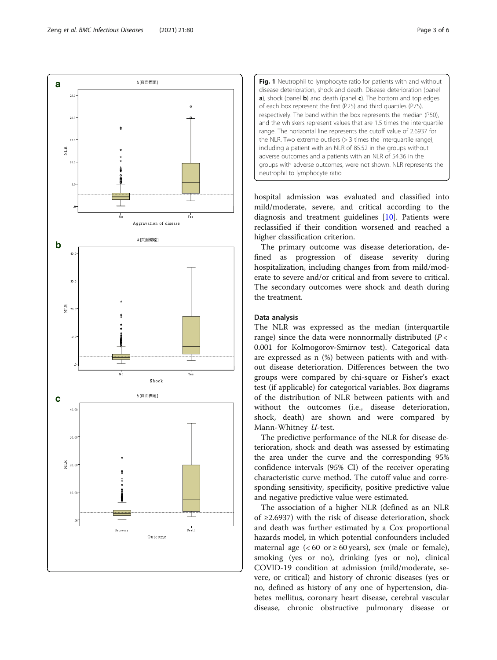hospital admission was evaluated and classified into mild/moderate, severe, and critical according to the diagnosis and treatment guidelines [[10](#page-5-0)]. Patients were reclassified if their condition worsened and reached a higher classification criterion.

Fig. 1 Neutrophil to lymphocyte ratio for patients with and without disease deterioration, shock and death. Disease deterioration (panel a), shock (panel **b**) and death (panel **c**). The bottom and top edges of each box represent the first (P25) and third quartiles (P75), respectively. The band within the box represents the median (P50), and the whiskers represent values that are 1.5 times the interquartile range. The horizontal line represents the cutoff value of 2.6937 for the NLR. Two extreme outliers  $(> 3$  times the interquartile range), including a patient with an NLR of 85.52 in the groups without adverse outcomes and a patients with an NLR of 54.36 in the groups with adverse outcomes, were not shown. NLR represents the

The primary outcome was disease deterioration, defined as progression of disease severity during hospitalization, including changes from from mild/moderate to severe and/or critical and from severe to critical. The secondary outcomes were shock and death during the treatment.

### Data analysis

neutrophil to lymphocyte ratio

The NLR was expressed as the median (interquartile range) since the data were nonnormally distributed ( $P <$ 0.001 for Kolmogorov-Smirnov test). Categorical data are expressed as n (%) between patients with and without disease deterioration. Differences between the two groups were compared by chi-square or Fisher's exact test (if applicable) for categorical variables. Box diagrams of the distribution of NLR between patients with and without the outcomes (i.e., disease deterioration, shock, death) are shown and were compared by Mann-Whitney U-test.

The predictive performance of the NLR for disease deterioration, shock and death was assessed by estimating the area under the curve and the corresponding 95% confidence intervals (95% CI) of the receiver operating characteristic curve method. The cutoff value and corresponding sensitivity, specificity, positive predictive value and negative predictive value were estimated.

The association of a higher NLR (defined as an NLR of ≥2.6937) with the risk of disease deterioration, shock and death was further estimated by a Cox proportional hazards model, in which potential confounders included maternal age  $( $60$  or  $\geq 60$  years), sex (male or female),$ smoking (yes or no), drinking (yes or no), clinical COVID-19 condition at admission (mild/moderate, severe, or critical) and history of chronic diseases (yes or no, defined as history of any one of hypertension, diabetes mellitus, coronary heart disease, cerebral vascular disease, chronic obstructive pulmonary disease or



& [頁面標題]

<span id="page-2-0"></span>**a**

 $25.$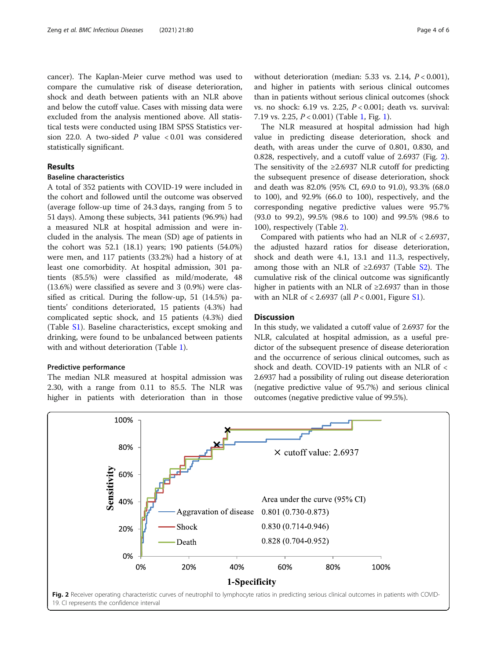cancer). The Kaplan-Meier curve method was used to compare the cumulative risk of disease deterioration, shock and death between patients with an NLR above and below the cutoff value. Cases with missing data were excluded from the analysis mentioned above. All statistical tests were conducted using IBM SPSS Statistics version 22.0. A two-sided  $P$  value < 0.01 was considered statistically significant.

### Results

## Baseline characteristics

A total of 352 patients with COVID-19 were included in the cohort and followed until the outcome was observed (average follow-up time of 24.3 days, ranging from 5 to 51 days). Among these subjects, 341 patients (96.9%) had a measured NLR at hospital admission and were included in the analysis. The mean (SD) age of patients in the cohort was 52.1 (18.1) years; 190 patients (54.0%) were men, and 117 patients (33.2%) had a history of at least one comorbidity. At hospital admission, 301 patients (85.5%) were classified as mild/moderate, 48 (13.6%) were classified as severe and 3 (0.9%) were classified as critical. During the follow-up, 51 (14.5%) patients' conditions deteriorated, 15 patients (4.3%) had complicated septic shock, and 15 patients (4.3%) died (Table [S1\)](#page-4-0). Baseline characteristics, except smoking and drinking, were found to be unbalanced between patients with and without deterioration (Table [1\)](#page-1-0).

### Predictive performance

The median NLR measured at hospital admission was 2.30, with a range from 0.11 to 85.5. The NLR was higher in patients with deterioration than in those

without deterioration (median: 5.33 vs. 2.14,  $P < 0.001$ ), and higher in patients with serious clinical outcomes than in patients without serious clinical outcomes (shock vs. no shock: 6.19 vs. 2.25, P < 0.001; death vs. survival: 7.19 vs. 2.25, P < 0.001) (Table [1,](#page-1-0) Fig. [1\)](#page-2-0).

The NLR measured at hospital admission had high value in predicting disease deterioration, shock and death, with areas under the curve of 0.801, 0.830, and 0.828, respectively, and a cutoff value of 2.6937 (Fig. 2). The sensitivity of the  $\geq$ 2.6937 NLR cutoff for predicting the subsequent presence of disease deterioration, shock and death was 82.0% (95% CI, 69.0 to 91.0), 93.3% (68.0 to 100), and 92.9% (66.0 to 100), respectively, and the corresponding negative predictive values were 95.7% (93.0 to 99.2), 99.5% (98.6 to 100) and 99.5% (98.6 to 100), respectively (Table [2](#page-4-0)).

Compared with patients who had an NLR of < 2.6937, the adjusted hazard ratios for disease deterioration, shock and death were 4.1, 13.1 and 11.3, respectively, among those with an NLR of  $\geq 2.6937$  (Table [S2\)](#page-4-0). The cumulative risk of the clinical outcome was significantly higher in patients with an NLR of ≥2.6937 than in those with an NLR of  $< 2.6937$  (all  $P < 0.001$ , Figure [S1\)](#page-4-0).

### **Discussion**

In this study, we validated a cutoff value of 2.6937 for the NLR, calculated at hospital admission, as a useful predictor of the subsequent presence of disease deterioration and the occurrence of serious clinical outcomes, such as shock and death. COVID-19 patients with an NLR of < 2.6937 had a possibility of ruling out disease deterioration (negative predictive value of 95.7%) and serious clinical outcomes (negative predictive value of 99.5%).

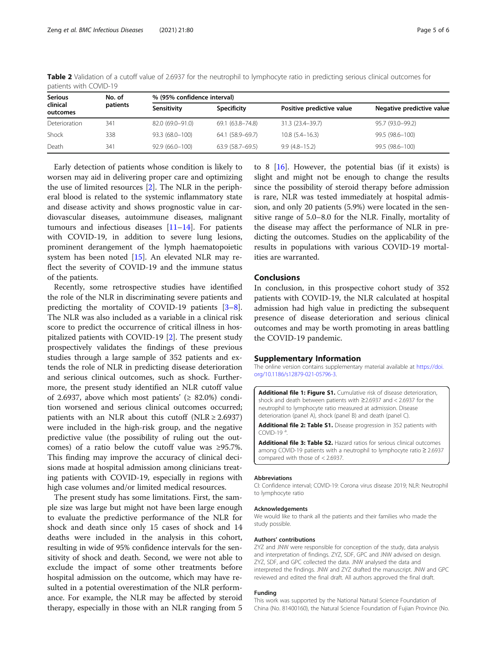| <b>Serious</b><br>clinical<br>outcomes | No. of   | % (95% confidence interval) |                     |                           |                           |
|----------------------------------------|----------|-----------------------------|---------------------|---------------------------|---------------------------|
|                                        | patients | Sensitivity                 | Specificity         | Positive predictive value | Negative predictive value |
| Deterioration                          | 341      | 82.0 (69.0-91.0)            | 69.1 (63.8–74.8)    | 31.3 (23.4–39.7)          | 95.7 (93.0-99.2)          |
| Shock                                  | 338      | 93.3 (68.0-100)             | 64.1 (58.9–69.7)    | $10.8(5.4 - 16.3)$        | 99.5 (98.6-100)           |
| Death                                  | 341      | $92.9(66.0-100)$            | $63.9(58.7 - 69.5)$ | $9.9(4.8 - 15.2)$         | 99.5 (98.6-100)           |

<span id="page-4-0"></span>Table 2 Validation of a cutoff value of 2.6937 for the neutrophil to lymphocyte ratio in predicting serious clinical outcomes for patients with COVID-19

Early detection of patients whose condition is likely to worsen may aid in delivering proper care and optimizing the use of limited resources [[2\]](#page-5-0). The NLR in the peripheral blood is related to the systemic inflammatory state and disease activity and shows prognostic value in cardiovascular diseases, autoimmune diseases, malignant tumours and infectious diseases [[11](#page-5-0)–[14](#page-5-0)]. For patients with COVID-19, in addition to severe lung lesions, prominent derangement of the lymph haematopoietic system has been noted [[15\]](#page-5-0). An elevated NLR may reflect the severity of COVID-19 and the immune status of the patients.

Recently, some retrospective studies have identified the role of the NLR in discriminating severe patients and predicting the mortality of COVID-19 patients [\[3](#page-5-0)–[8](#page-5-0)]. The NLR was also included as a variable in a clinical risk score to predict the occurrence of critical illness in hospitalized patients with COVID-19 [\[2](#page-5-0)]. The present study prospectively validates the findings of these previous studies through a large sample of 352 patients and extends the role of NLR in predicting disease deterioration and serious clinical outcomes, such as shock. Furthermore, the present study identified an NLR cutoff value of 2.6937, above which most patients' ( $\geq$  82.0%) condition worsened and serious clinical outcomes occurred; patients with an NLR about this cutoff (NLR  $\geq$  2.6937) were included in the high-risk group, and the negative predictive value (the possibility of ruling out the outcomes) of a ratio below the cutoff value was ≥95.7%. This finding may improve the accuracy of clinical decisions made at hospital admission among clinicians treating patients with COVID-19, especially in regions with high case volumes and/or limited medical resources.

The present study has some limitations. First, the sample size was large but might not have been large enough to evaluate the predictive performance of the NLR for shock and death since only 15 cases of shock and 14 deaths were included in the analysis in this cohort, resulting in wide of 95% confidence intervals for the sensitivity of shock and death. Second, we were not able to exclude the impact of some other treatments before hospital admission on the outcome, which may have resulted in a potential overestimation of the NLR performance. For example, the NLR may be affected by steroid therapy, especially in those with an NLR ranging from 5

to 8  $[16]$  $[16]$  $[16]$ . However, the potential bias (if it exists) is slight and might not be enough to change the results since the possibility of steroid therapy before admission is rare, NLR was tested immediately at hospital admission, and only 20 patients (5.9%) were located in the sensitive range of 5.0–8.0 for the NLR. Finally, mortality of the disease may affect the performance of NLR in predicting the outcomes. Studies on the applicability of the results in populations with various COVID-19 mortalities are warranted.

### Conclusions

In conclusion, in this prospective cohort study of 352 patients with COVID-19, the NLR calculated at hospital admission had high value in predicting the subsequent presence of disease deterioration and serious clinical outcomes and may be worth promoting in areas battling the COVID-19 pandemic.

### Supplementary Information

The online version contains supplementary material available at [https://doi.](https://doi.org/10.1186/s12879-021-05796-3) [org/10.1186/s12879-021-05796-3.](https://doi.org/10.1186/s12879-021-05796-3)

Additional file 1: Figure S1. Cumulative risk of disease deterioration, shock and death between patients with ≥2.6937 and < 2.6937 for the neutrophil to lymphocyte ratio measured at admission. Disease deterioration (panel A), shock (panel B) and death (panel C).

Additional file 2: Table S1. Disease progression in 352 patients with COVID-19 .

Additional file 3: Table S2. Hazard ratios for serious clinical outcomes among COVID-19 patients with a neutrophil to lymphocyte ratio ≥ 2.6937 compared with those of < 2.6937.

#### Abbreviations

CI: Confidence interval; COVID-19: Corona virus disease 2019; NLR: Neutrophil to lymphocyte ratio

#### Acknowledgements

We would like to thank all the patients and their families who made the study possible.

#### Authors' contributions

ZYZ and JNW were responsible for conception of the study, data analysis and interpretation of findings. ZYZ, SDF, GPC and JNW advised on design. ZYZ, SDF, and GPC collected the data. JNW analysed the data and interpreted the findings. JNW and ZYZ drafted the manuscript. JNW and GPC reviewed and edited the final draft. All authors approved the final draft.

#### Funding

This work was supported by the National Natural Science Foundation of China (No. 81400160), the Natural Science Foundation of Fujian Province (No.